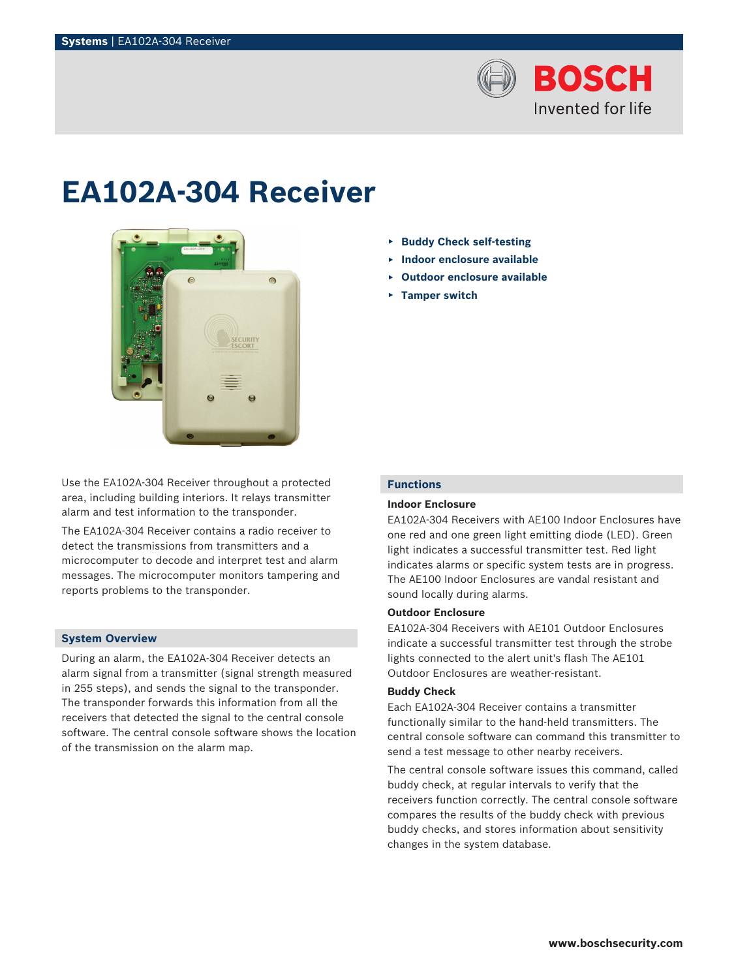

# **EA102A‑304 Receiver**



Use the EA102A‑304 Receiver throughout a protected area, including building interiors. It relays transmitter alarm and test information to the transponder.

The EA102A‑304 Receiver contains a radio receiver to detect the transmissions from transmitters and a microcomputer to decode and interpret test and alarm messages. The microcomputer monitors tampering and reports problems to the transponder.

## **System Overview**

During an alarm, the EA102A-304 Receiver detects an alarm signal from a transmitter (signal strength measured in 255 steps), and sends the signal to the transponder. The transponder forwards this information from all the receivers that detected the signal to the central console software. The central console software shows the location of the transmission on the alarm map.

- ▶ **Buddy Check self‑testing**
- ▶ **Indoor enclosure available**
- ▶ **Outdoor enclosure available**
- ▶ **Tamper switch**

# **Functions**

# **Indoor Enclosure**

EA102A‑304 Receivers with AE100 Indoor Enclosures have one red and one green light emitting diode (LED). Green light indicates a successful transmitter test. Red light indicates alarms or specific system tests are in progress. The AE100 Indoor Enclosures are vandal resistant and sound locally during alarms.

# **Outdoor Enclosure**

EA102A‑304 Receivers with AE101 Outdoor Enclosures indicate a successful transmitter test through the strobe lights connected to the alert unit's flash The AE101 Outdoor Enclosures are weather-resistant.

## **Buddy Check**

Each EA102A‑304 Receiver contains a transmitter functionally similar to the hand-held transmitters. The central console software can command this transmitter to send a test message to other nearby receivers.

The central console software issues this command, called buddy check, at regular intervals to verify that the receivers function correctly. The central console software compares the results of the buddy check with previous buddy checks, and stores information about sensitivity changes in the system database.